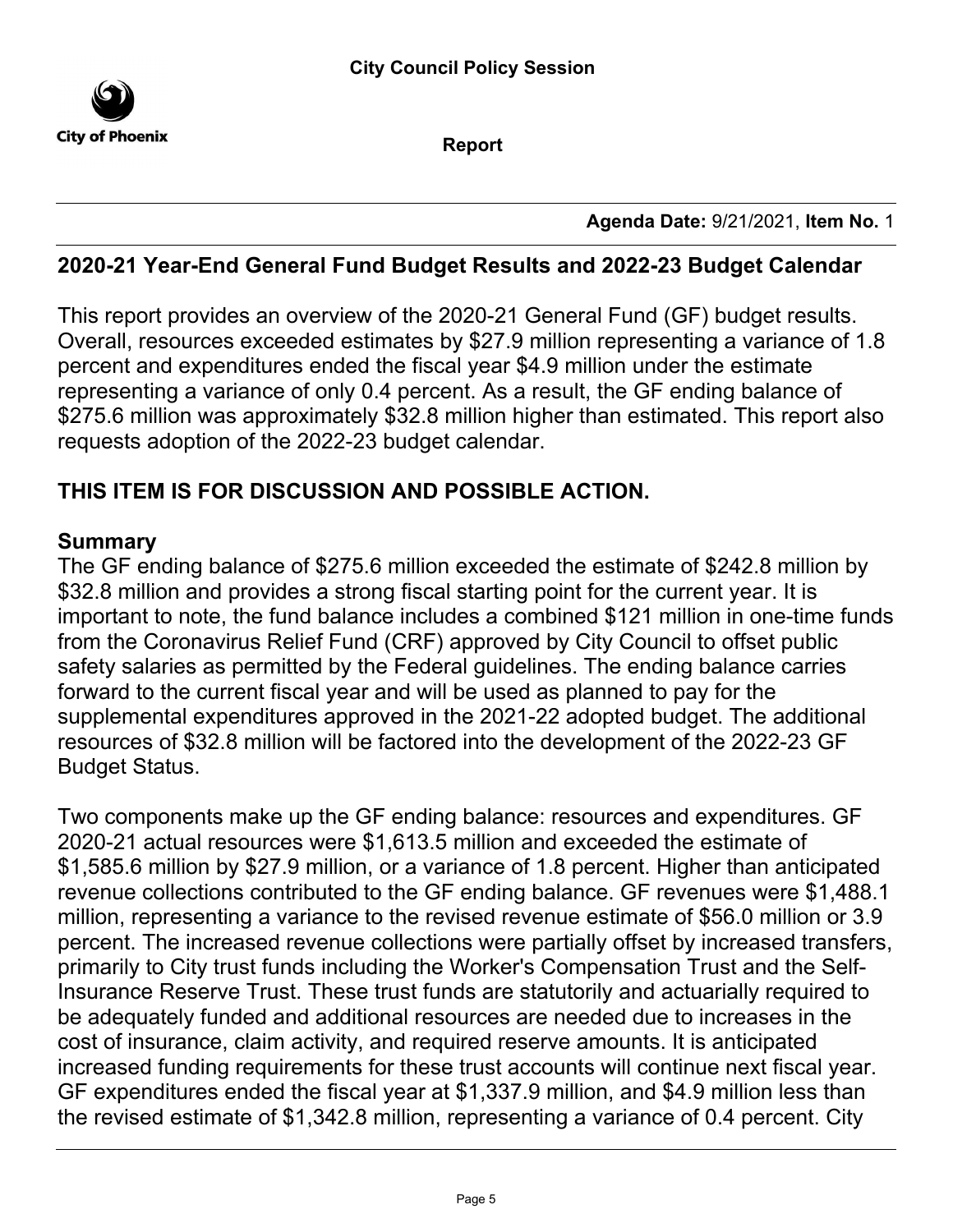

**Report**

**Agenda Date:** 9/21/2021, **Item No.** 1

#### **2020-21 Year-End General Fund Budget Results and 2022-23 Budget Calendar**

This report provides an overview of the 2020-21 General Fund (GF) budget results. Overall, resources exceeded estimates by \$27.9 million representing a variance of 1.8 percent and expenditures ended the fiscal year \$4.9 million under the estimate representing a variance of only 0.4 percent. As a result, the GF ending balance of \$275.6 million was approximately \$32.8 million higher than estimated. This report also requests adoption of the 2022-23 budget calendar.

## **THIS ITEM IS FOR DISCUSSION AND POSSIBLE ACTION.**

#### **Summary**

The GF ending balance of \$275.6 million exceeded the estimate of \$242.8 million by \$32.8 million and provides a strong fiscal starting point for the current year. It is important to note, the fund balance includes a combined \$121 million in one-time funds from the Coronavirus Relief Fund (CRF) approved by City Council to offset public safety salaries as permitted by the Federal guidelines. The ending balance carries forward to the current fiscal year and will be used as planned to pay for the supplemental expenditures approved in the 2021-22 adopted budget. The additional resources of \$32.8 million will be factored into the development of the 2022-23 GF Budget Status.

Two components make up the GF ending balance: resources and expenditures. GF 2020-21 actual resources were \$1,613.5 million and exceeded the estimate of \$1,585.6 million by \$27.9 million, or a variance of 1.8 percent. Higher than anticipated revenue collections contributed to the GF ending balance. GF revenues were \$1,488.1 million, representing a variance to the revised revenue estimate of \$56.0 million or 3.9 percent. The increased revenue collections were partially offset by increased transfers, primarily to City trust funds including the Worker's Compensation Trust and the Self-Insurance Reserve Trust. These trust funds are statutorily and actuarially required to be adequately funded and additional resources are needed due to increases in the cost of insurance, claim activity, and required reserve amounts. It is anticipated increased funding requirements for these trust accounts will continue next fiscal year. GF expenditures ended the fiscal year at \$1,337.9 million, and \$4.9 million less than the revised estimate of \$1,342.8 million, representing a variance of 0.4 percent. City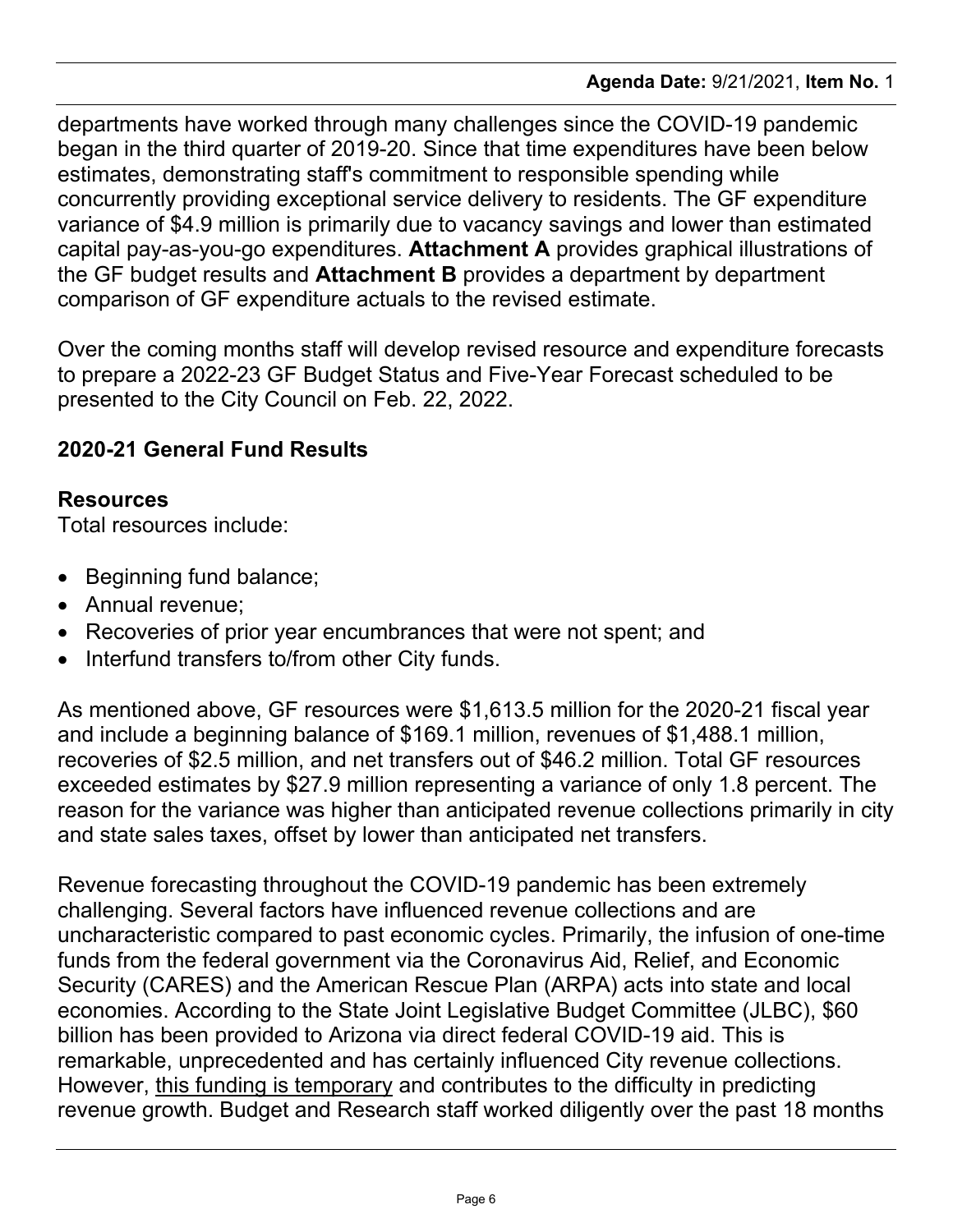departments have worked through many challenges since the COVID-19 pandemic began in the third quarter of 2019-20. Since that time expenditures have been below estimates, demonstrating staff's commitment to responsible spending while concurrently providing exceptional service delivery to residents. The GF expenditure variance of \$4.9 million is primarily due to vacancy savings and lower than estimated capital pay-as-you-go expenditures. **Attachment A** provides graphical illustrations of the GF budget results and **Attachment B** provides a department by department comparison of GF expenditure actuals to the revised estimate.

Over the coming months staff will develop revised resource and expenditure forecasts to prepare a 2022-23 GF Budget Status and Five-Year Forecast scheduled to be presented to the City Council on Feb. 22, 2022.

# **2020-21 General Fund Results**

### **Resources**

Total resources include:

- · Beginning fund balance;
- · Annual revenue;
- · Recoveries of prior year encumbrances that were not spent; and
- · Interfund transfers to/from other City funds.

As mentioned above, GF resources were \$1,613.5 million for the 2020-21 fiscal year and include a beginning balance of \$169.1 million, revenues of \$1,488.1 million, recoveries of \$2.5 million, and net transfers out of \$46.2 million. Total GF resources exceeded estimates by \$27.9 million representing a variance of only 1.8 percent. The reason for the variance was higher than anticipated revenue collections primarily in city and state sales taxes, offset by lower than anticipated net transfers.

Revenue forecasting throughout the COVID-19 pandemic has been extremely challenging. Several factors have influenced revenue collections and are uncharacteristic compared to past economic cycles. Primarily, the infusion of one-time funds from the federal government via the Coronavirus Aid, Relief, and Economic Security (CARES) and the American Rescue Plan (ARPA) acts into state and local economies. According to the State Joint Legislative Budget Committee (JLBC), \$60 billion has been provided to Arizona via direct federal COVID-19 aid. This is remarkable, unprecedented and has certainly influenced City revenue collections. However, this funding is temporary and contributes to the difficulty in predicting revenue growth. Budget and Research staff worked diligently over the past 18 months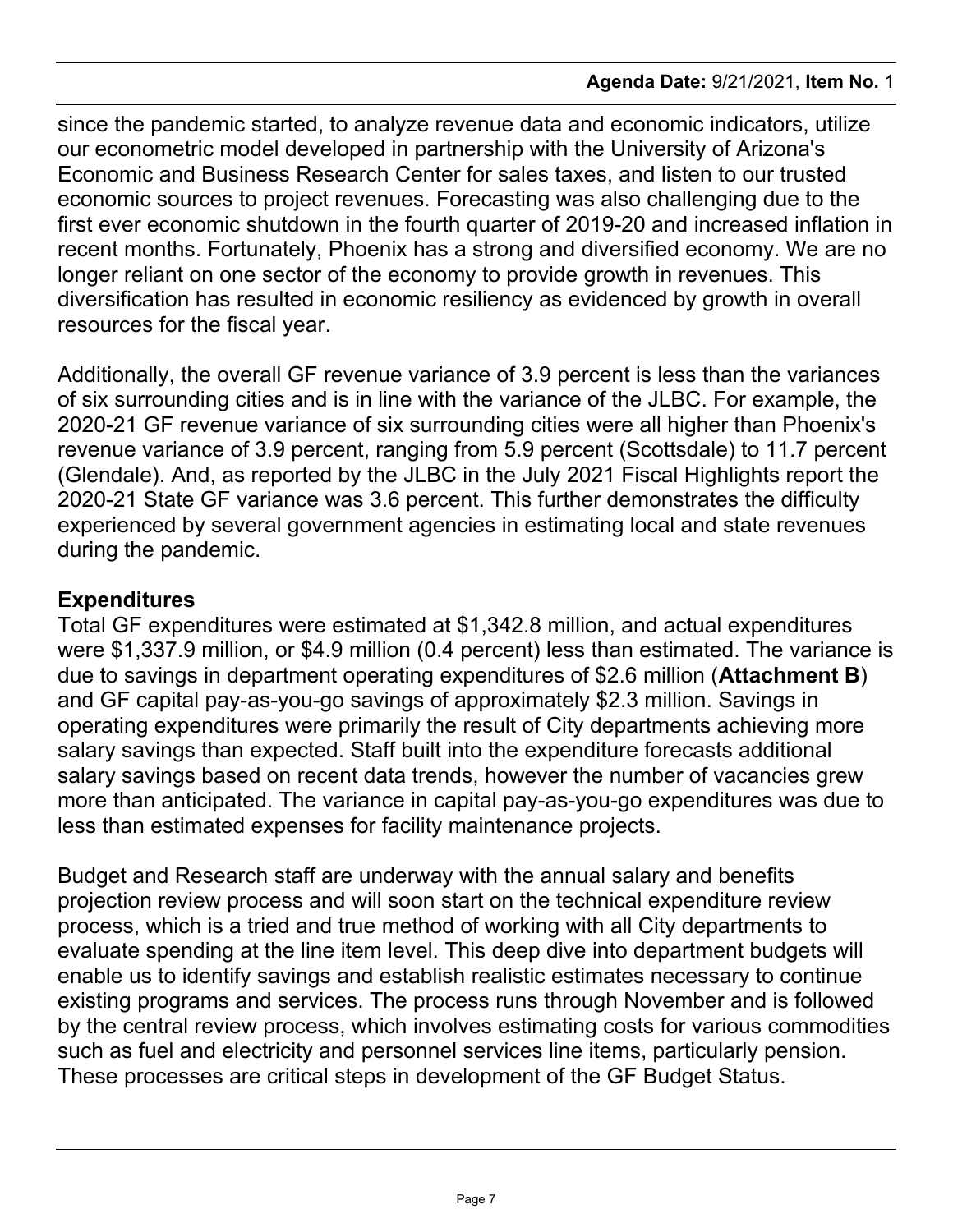since the pandemic started, to analyze revenue data and economic indicators, utilize our econometric model developed in partnership with the University of Arizona's Economic and Business Research Center for sales taxes, and listen to our trusted economic sources to project revenues. Forecasting was also challenging due to the first ever economic shutdown in the fourth quarter of 2019-20 and increased inflation in recent months. Fortunately, Phoenix has a strong and diversified economy. We are no longer reliant on one sector of the economy to provide growth in revenues. This diversification has resulted in economic resiliency as evidenced by growth in overall resources for the fiscal year.

Additionally, the overall GF revenue variance of 3.9 percent is less than the variances of six surrounding cities and is in line with the variance of the JLBC. For example, the 2020-21 GF revenue variance of six surrounding cities were all higher than Phoenix's revenue variance of 3.9 percent, ranging from 5.9 percent (Scottsdale) to 11.7 percent (Glendale). And, as reported by the JLBC in the July 2021 Fiscal Highlights report the 2020-21 State GF variance was 3.6 percent. This further demonstrates the difficulty experienced by several government agencies in estimating local and state revenues during the pandemic.

# **Expenditures**

Total GF expenditures were estimated at \$1,342.8 million, and actual expenditures were \$1,337.9 million, or \$4.9 million (0.4 percent) less than estimated. The variance is due to savings in department operating expenditures of \$2.6 million (**Attachment B**) and GF capital pay-as-you-go savings of approximately \$2.3 million. Savings in operating expenditures were primarily the result of City departments achieving more salary savings than expected. Staff built into the expenditure forecasts additional salary savings based on recent data trends, however the number of vacancies grew more than anticipated. The variance in capital pay-as-you-go expenditures was due to less than estimated expenses for facility maintenance projects.

Budget and Research staff are underway with the annual salary and benefits projection review process and will soon start on the technical expenditure review process, which is a tried and true method of working with all City departments to evaluate spending at the line item level. This deep dive into department budgets will enable us to identify savings and establish realistic estimates necessary to continue existing programs and services. The process runs through November and is followed by the central review process, which involves estimating costs for various commodities such as fuel and electricity and personnel services line items, particularly pension. These processes are critical steps in development of the GF Budget Status.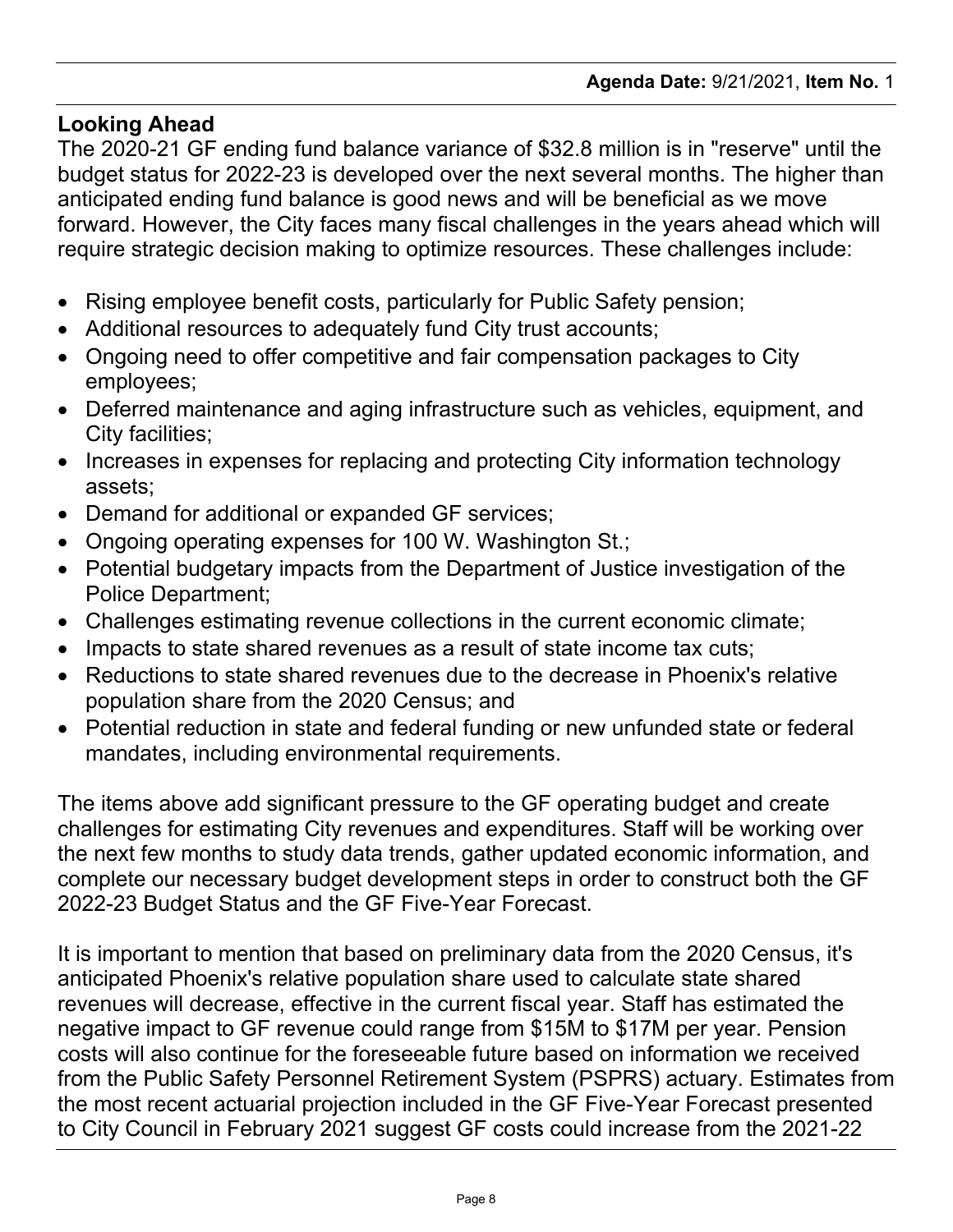#### **Looking Ahead**

The 2020-21 GF ending fund balance variance of \$32.8 million is in "reserve" until the budget status for 2022-23 is developed over the next several months. The higher than anticipated ending fund balance is good news and will be beneficial as we move forward. However, the City faces many fiscal challenges in the years ahead which will require strategic decision making to optimize resources. These challenges include:

- · Rising employee benefit costs, particularly for Public Safety pension;
- · Additional resources to adequately fund City trust accounts;
- · Ongoing need to offer competitive and fair compensation packages to City employees;
- · Deferred maintenance and aging infrastructure such as vehicles, equipment, and City facilities;
- · Increases in expenses for replacing and protecting City information technology assets;
- · Demand for additional or expanded GF services;
- · Ongoing operating expenses for 100 W. Washington St.;
- · Potential budgetary impacts from the Department of Justice investigation of the Police Department;
- · Challenges estimating revenue collections in the current economic climate;
- · Impacts to state shared revenues as a result of state income tax cuts;
- · Reductions to state shared revenues due to the decrease in Phoenix's relative population share from the 2020 Census; and
- · Potential reduction in state and federal funding or new unfunded state or federal mandates, including environmental requirements.

The items above add significant pressure to the GF operating budget and create challenges for estimating City revenues and expenditures. Staff will be working over the next few months to study data trends, gather updated economic information, and complete our necessary budget development steps in order to construct both the GF 2022-23 Budget Status and the GF Five-Year Forecast.

It is important to mention that based on preliminary data from the 2020 Census, it's anticipated Phoenix's relative population share used to calculate state shared revenues will decrease, effective in the current fiscal year. Staff has estimated the negative impact to GF revenue could range from \$15M to \$17M per year. Pension costs will also continue for the foreseeable future based on information we received from the Public Safety Personnel Retirement System (PSPRS) actuary. Estimates from the most recent actuarial projection included in the GF Five-Year Forecast presented to City Council in February 2021 suggest GF costs could increase from the 2021-22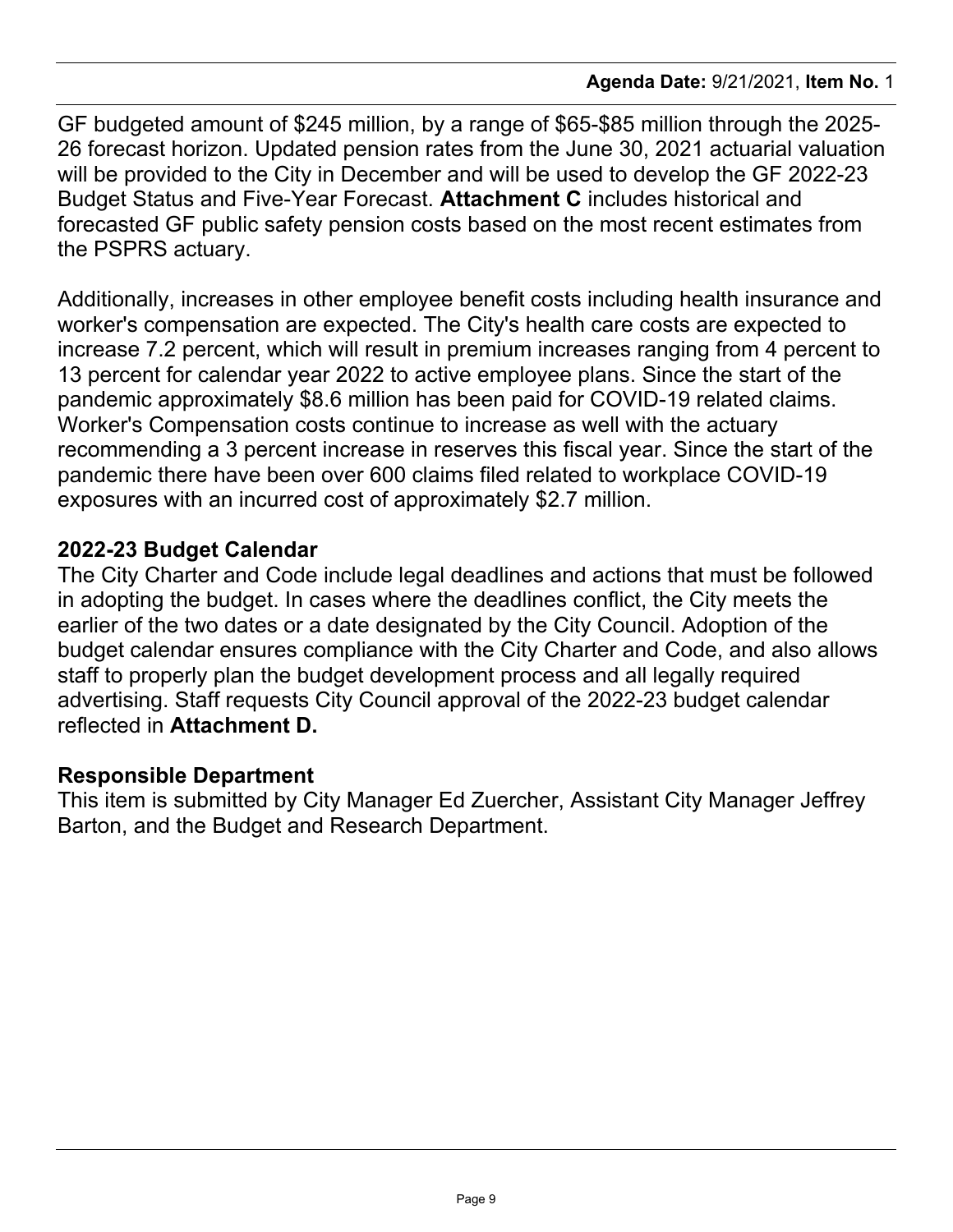GF budgeted amount of \$245 million, by a range of \$65-\$85 million through the 2025- 26 forecast horizon. Updated pension rates from the June 30, 2021 actuarial valuation will be provided to the City in December and will be used to develop the GF 2022-23 Budget Status and Five-Year Forecast. **Attachment C** includes historical and forecasted GF public safety pension costs based on the most recent estimates from the PSPRS actuary.

Additionally, increases in other employee benefit costs including health insurance and worker's compensation are expected. The City's health care costs are expected to increase 7.2 percent, which will result in premium increases ranging from 4 percent to 13 percent for calendar year 2022 to active employee plans. Since the start of the pandemic approximately \$8.6 million has been paid for COVID-19 related claims. Worker's Compensation costs continue to increase as well with the actuary recommending a 3 percent increase in reserves this fiscal year. Since the start of the pandemic there have been over 600 claims filed related to workplace COVID-19 exposures with an incurred cost of approximately \$2.7 million.

## **2022-23 Budget Calendar**

The City Charter and Code include legal deadlines and actions that must be followed in adopting the budget. In cases where the deadlines conflict, the City meets the earlier of the two dates or a date designated by the City Council. Adoption of the budget calendar ensures compliance with the City Charter and Code, and also allows staff to properly plan the budget development process and all legally required advertising. Staff requests City Council approval of the 2022-23 budget calendar reflected in **Attachment D.**

### **Responsible Department**

This item is submitted by City Manager Ed Zuercher, Assistant City Manager Jeffrey Barton, and the Budget and Research Department.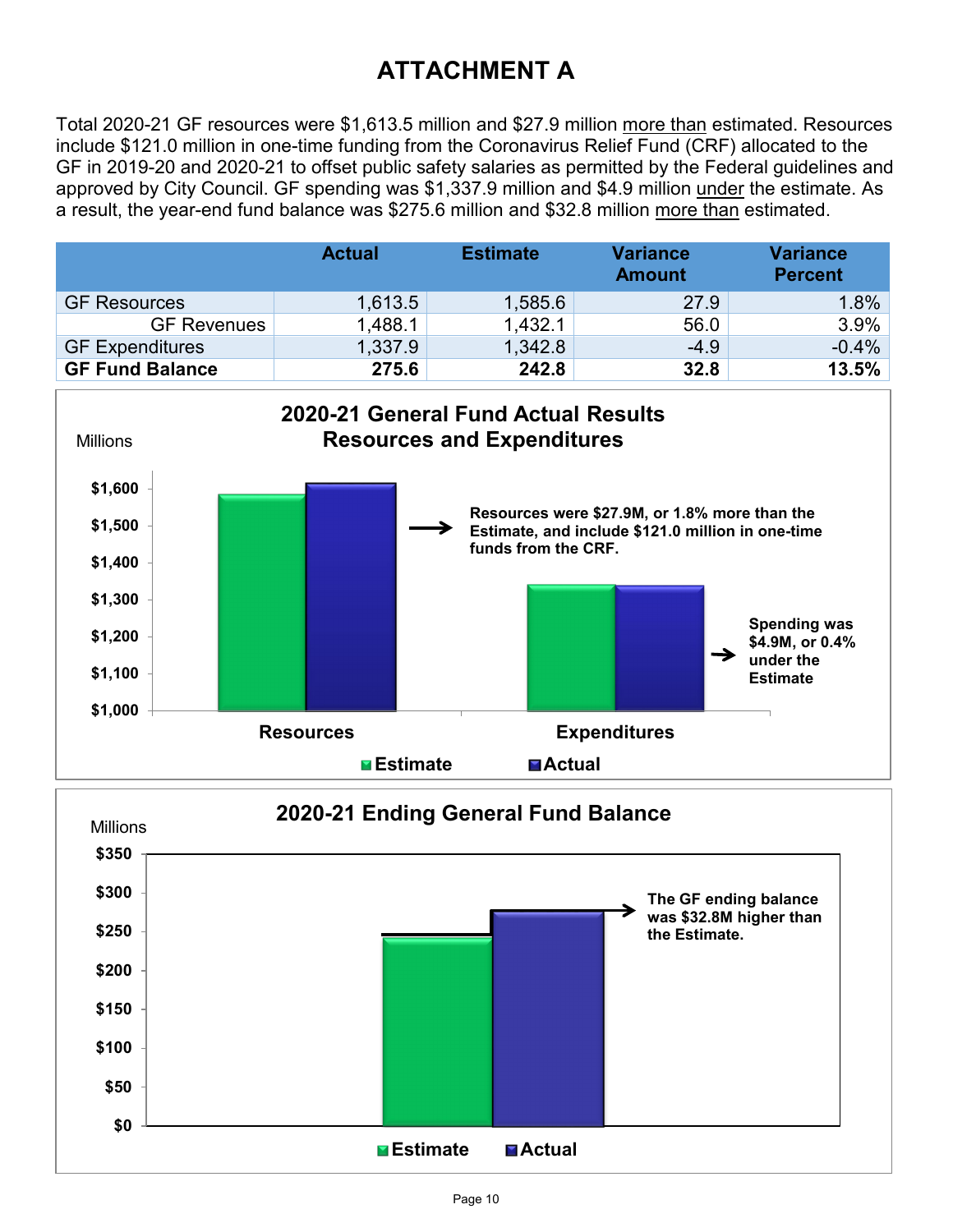# **ATTACHMENT A**

Total 2020-21 GF resources were \$1,613.5 million and \$27.9 million more than estimated. Resources include \$121.0 million in one-time funding from the Coronavirus Relief Fund (CRF) allocated to the GF in 2019-20 and 2020-21 to offset public safety salaries as permitted by the Federal guidelines and approved by City Council. GF spending was \$1,337.9 million and \$4.9 million under the estimate. As a result, the year-end fund balance was \$275.6 million and \$32.8 million more than estimated.



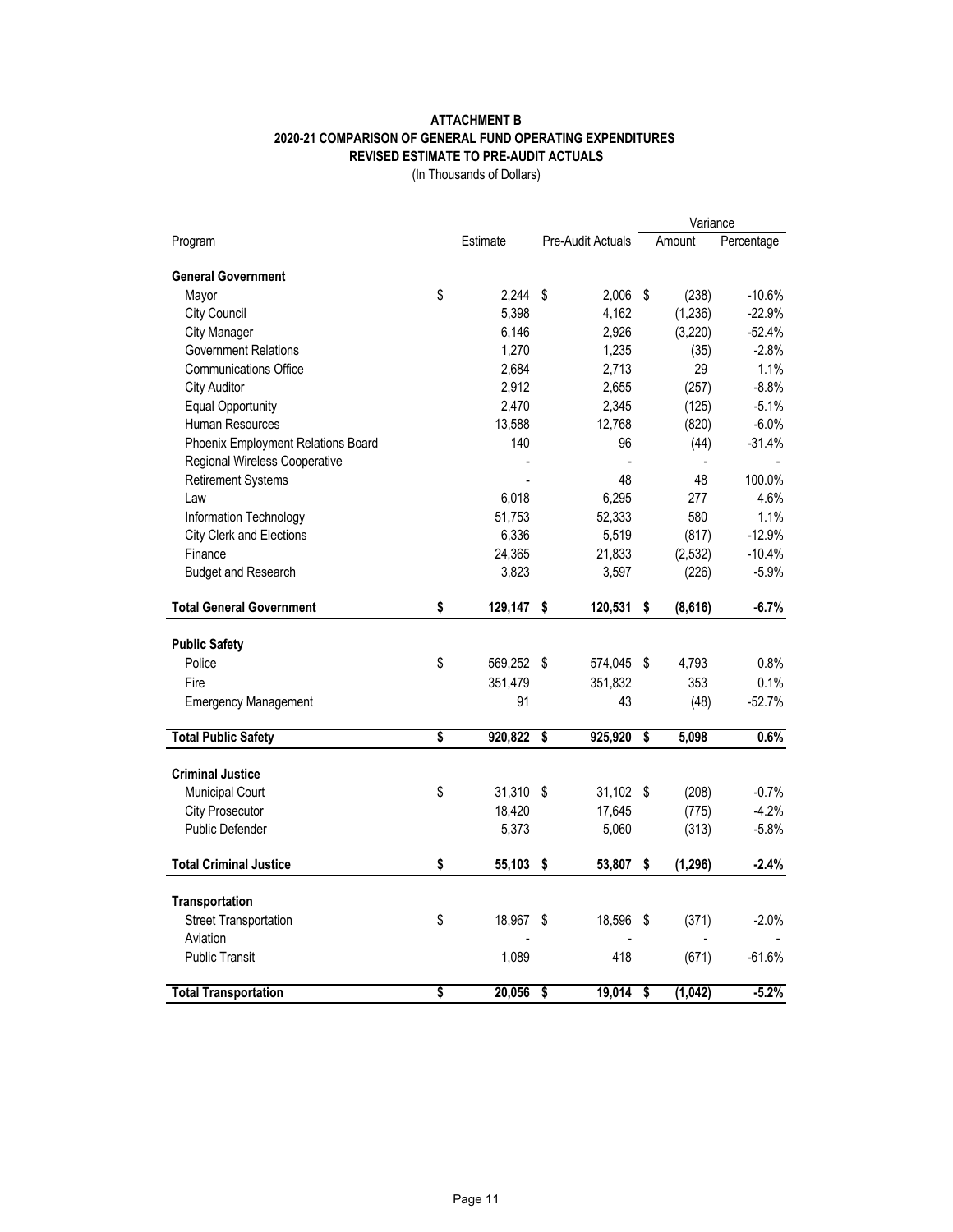#### **ATTACHMENT B 2020-21 COMPARISON OF GENERAL FUND OPERATING EXPENDITURES REVISED ESTIMATE TO PRE-AUDIT ACTUALS**

(In Thousands of Dollars)

|                                    |    |           |                                      | Variance          |                                      |          |            |
|------------------------------------|----|-----------|--------------------------------------|-------------------|--------------------------------------|----------|------------|
| Program                            |    | Estimate  |                                      | Pre-Audit Actuals |                                      | Amount   | Percentage |
|                                    |    |           |                                      |                   |                                      |          |            |
| <b>General Government</b>          |    |           |                                      |                   |                                      |          |            |
| Mayor                              | \$ | 2.244     | \$                                   | 2,006 \$          |                                      | (238)    | $-10.6%$   |
| City Council                       |    | 5,398     |                                      | 4,162             |                                      | (1,236)  | $-22.9%$   |
| <b>City Manager</b>                |    | 6,146     |                                      | 2,926             |                                      | (3,220)  | $-52.4%$   |
| <b>Government Relations</b>        |    | 1,270     |                                      | 1,235             |                                      | (35)     | $-2.8%$    |
| <b>Communications Office</b>       |    | 2,684     |                                      | 2,713             |                                      | 29       | 1.1%       |
| <b>City Auditor</b>                |    | 2,912     |                                      | 2,655             |                                      | (257)    | $-8.8%$    |
| <b>Equal Opportunity</b>           |    | 2,470     |                                      | 2,345             |                                      | (125)    | $-5.1%$    |
| Human Resources                    |    | 13,588    |                                      | 12,768            |                                      | (820)    | $-6.0%$    |
| Phoenix Employment Relations Board |    | 140       |                                      | 96                |                                      | (44)     | $-31.4%$   |
| Regional Wireless Cooperative      |    |           |                                      |                   |                                      |          |            |
| <b>Retirement Systems</b>          |    |           |                                      | 48                |                                      | 48       | 100.0%     |
| Law                                |    | 6,018     |                                      | 6,295             |                                      | 277      | 4.6%       |
| Information Technology             |    | 51,753    |                                      | 52,333            |                                      | 580      | 1.1%       |
| City Clerk and Elections           |    | 6,336     |                                      | 5,519             |                                      | (817)    | $-12.9%$   |
| Finance                            |    | 24,365    |                                      | 21,833            |                                      | (2,532)  | $-10.4%$   |
| <b>Budget and Research</b>         |    | 3,823     |                                      | 3,597             |                                      | (226)    | $-5.9%$    |
|                                    |    |           |                                      |                   |                                      |          |            |
| <b>Total General Government</b>    | \$ | 129,147   | \$                                   | 120,531           | \$                                   | (8,616)  | $-6.7%$    |
|                                    |    |           |                                      |                   |                                      |          |            |
| <b>Public Safety</b>               |    |           |                                      |                   |                                      |          |            |
| Police                             | \$ | 569,252   | \$                                   | 574,045           | \$                                   | 4,793    | 0.8%       |
| Fire                               |    | 351,479   |                                      | 351,832           |                                      | 353      | 0.1%       |
| <b>Emergency Management</b>        |    | 91        |                                      | 43                |                                      | (48)     | $-52.7%$   |
|                                    |    |           |                                      |                   |                                      |          |            |
| <b>Total Public Safety</b>         | \$ | 920,822   | \$                                   | 925,920           | $\overline{\mathbf{s}}$              | 5,098    | 0.6%       |
|                                    |    |           |                                      |                   |                                      |          |            |
| <b>Criminal Justice</b>            |    |           |                                      |                   |                                      |          |            |
| <b>Municipal Court</b>             | \$ | 31,310 \$ |                                      | 31,102 \$         |                                      | (208)    | $-0.7%$    |
| <b>City Prosecutor</b>             |    | 18,420    |                                      | 17,645            |                                      | (775)    | $-4.2%$    |
| <b>Public Defender</b>             |    | 5,373     |                                      | 5,060             |                                      | (313)    | $-5.8%$    |
| <b>Total Criminal Justice</b>      | \$ | 55,103    | $\overline{\boldsymbol{\mathsf{s}}}$ | 53,807            | \$                                   | (1, 296) | $-2.4%$    |
|                                    |    |           |                                      |                   |                                      |          |            |
| Transportation                     |    |           |                                      |                   |                                      |          |            |
| <b>Street Transportation</b>       | \$ | 18,967    | \$                                   | 18,596            | \$                                   | (371)    | $-2.0%$    |
| Aviation                           |    |           |                                      |                   |                                      |          |            |
| <b>Public Transit</b>              |    | 1,089     |                                      | 418               |                                      | (671)    | $-61.6%$   |
|                                    |    |           |                                      |                   |                                      |          |            |
| <b>Total Transportation</b>        | \$ | 20,056    | \$                                   | 19,014            | $\overline{\boldsymbol{\mathsf{s}}}$ | (1,042)  | $-5.2%$    |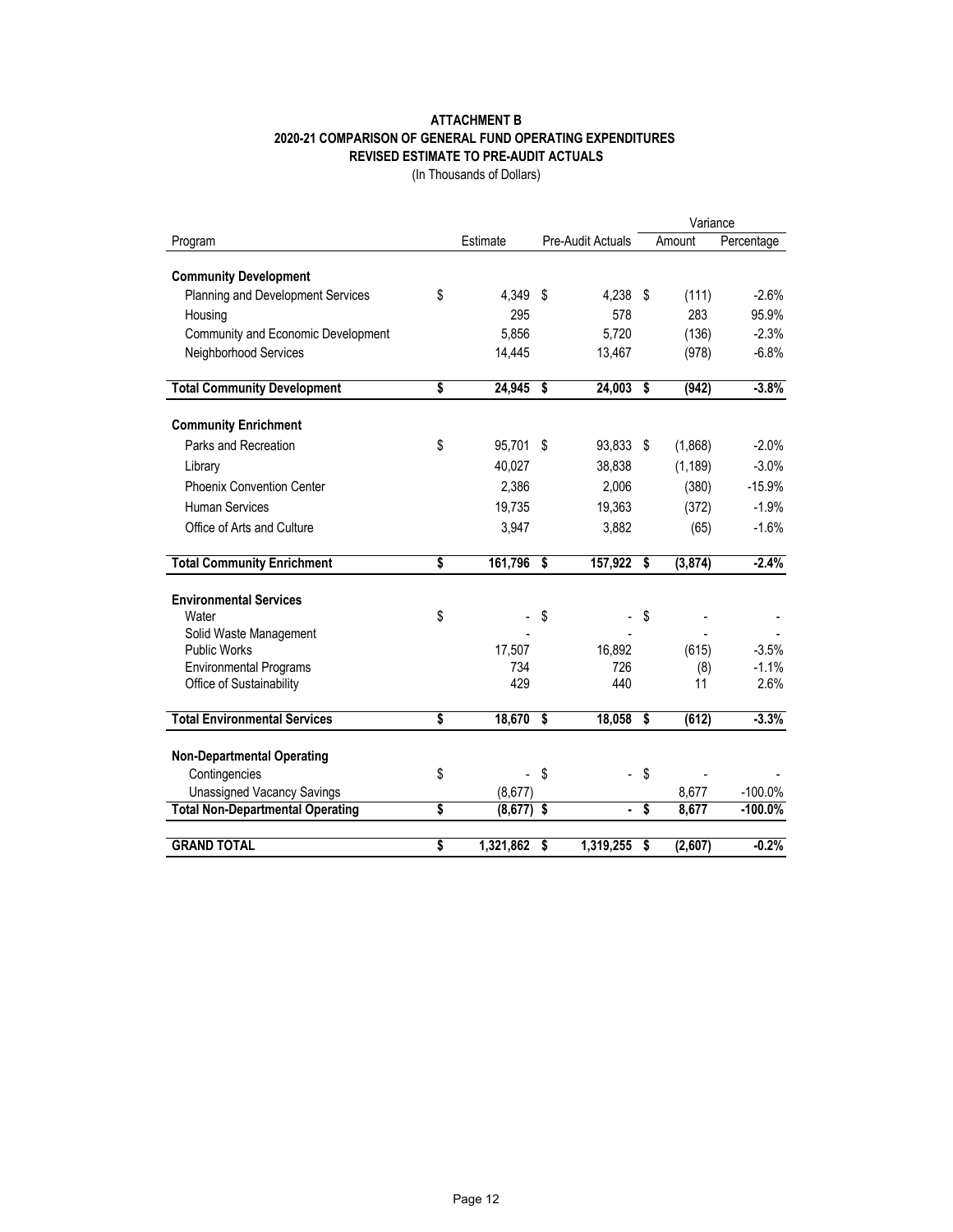#### **ATTACHMENT B 2020-21 COMPARISON OF GENERAL FUND OPERATING EXPENDITURES REVISED ESTIMATE TO PRE-AUDIT ACTUALS**

(In Thousands of Dollars)

|                                                                   |                 |    |                   |                                      | Variance |            |  |
|-------------------------------------------------------------------|-----------------|----|-------------------|--------------------------------------|----------|------------|--|
| Program                                                           | Estimate        |    | Pre-Audit Actuals |                                      | Amount   | Percentage |  |
|                                                                   |                 |    |                   |                                      |          |            |  |
| <b>Community Development</b><br>Planning and Development Services | \$<br>4.349     | \$ | 4,238 \$          |                                      | (111)    | $-2.6%$    |  |
|                                                                   | 295             |    | 578               |                                      | 283      | 95.9%      |  |
| Housing                                                           | 5,856           |    | 5,720             |                                      |          | $-2.3%$    |  |
| Community and Economic Development                                |                 |    |                   |                                      | (136)    |            |  |
| Neighborhood Services                                             | 14,445          |    | 13,467            |                                      | (978)    | $-6.8%$    |  |
| <b>Total Community Development</b>                                | \$<br>24,945    | \$ | 24,003            | \$                                   | (942)    | $-3.8%$    |  |
| <b>Community Enrichment</b>                                       |                 |    |                   |                                      |          |            |  |
| Parks and Recreation                                              | \$<br>95,701    | \$ | 93,833            | - \$                                 | (1,868)  | $-2.0%$    |  |
| Library                                                           | 40,027          |    | 38,838            |                                      | (1, 189) | $-3.0%$    |  |
| <b>Phoenix Convention Center</b>                                  | 2.386           |    | 2,006             |                                      | (380)    | $-15.9%$   |  |
| <b>Human Services</b>                                             | 19,735          |    | 19,363            |                                      | (372)    | $-1.9%$    |  |
| Office of Arts and Culture                                        | 3,947           |    | 3,882             |                                      | (65)     | $-1.6%$    |  |
|                                                                   |                 |    |                   |                                      |          |            |  |
| <b>Total Community Enrichment</b>                                 | \$<br>161,796   | \$ | 157,922           | \$                                   | (3, 874) | $-2.4%$    |  |
|                                                                   |                 |    |                   |                                      |          |            |  |
| <b>Environmental Services</b><br>Water                            | \$              | \$ |                   | \$                                   |          |            |  |
| Solid Waste Management                                            |                 |    |                   |                                      |          |            |  |
| <b>Public Works</b>                                               | 17,507          |    | 16,892            |                                      | (615)    | $-3.5%$    |  |
| <b>Environmental Programs</b>                                     | 734             |    | 726               |                                      | (8)      | $-1.1%$    |  |
| Office of Sustainability                                          | 429             |    | 440               |                                      | 11       | 2.6%       |  |
|                                                                   |                 |    |                   |                                      |          |            |  |
| <b>Total Environmental Services</b>                               | \$<br>18,670    | \$ | 18,058            | \$                                   | (612)    | $-3.3%$    |  |
| <b>Non-Departmental Operating</b>                                 |                 |    |                   |                                      |          |            |  |
| Contingencies                                                     | \$              | \$ |                   | \$                                   |          |            |  |
| <b>Unassigned Vacancy Savings</b>                                 | (8,677)         |    |                   |                                      | 8,677    | $-100.0\%$ |  |
| <b>Total Non-Departmental Operating</b>                           | \$<br>(8, 677)  | \$ | $\blacksquare$    | $\overline{\boldsymbol{\mathsf{s}}}$ | 8,677    | $-100.0%$  |  |
|                                                                   |                 |    |                   |                                      |          |            |  |
| <b>GRAND TOTAL</b>                                                | \$<br>1,321,862 | \$ | 1,319,255         | \$                                   | (2,607)  | $-0.2%$    |  |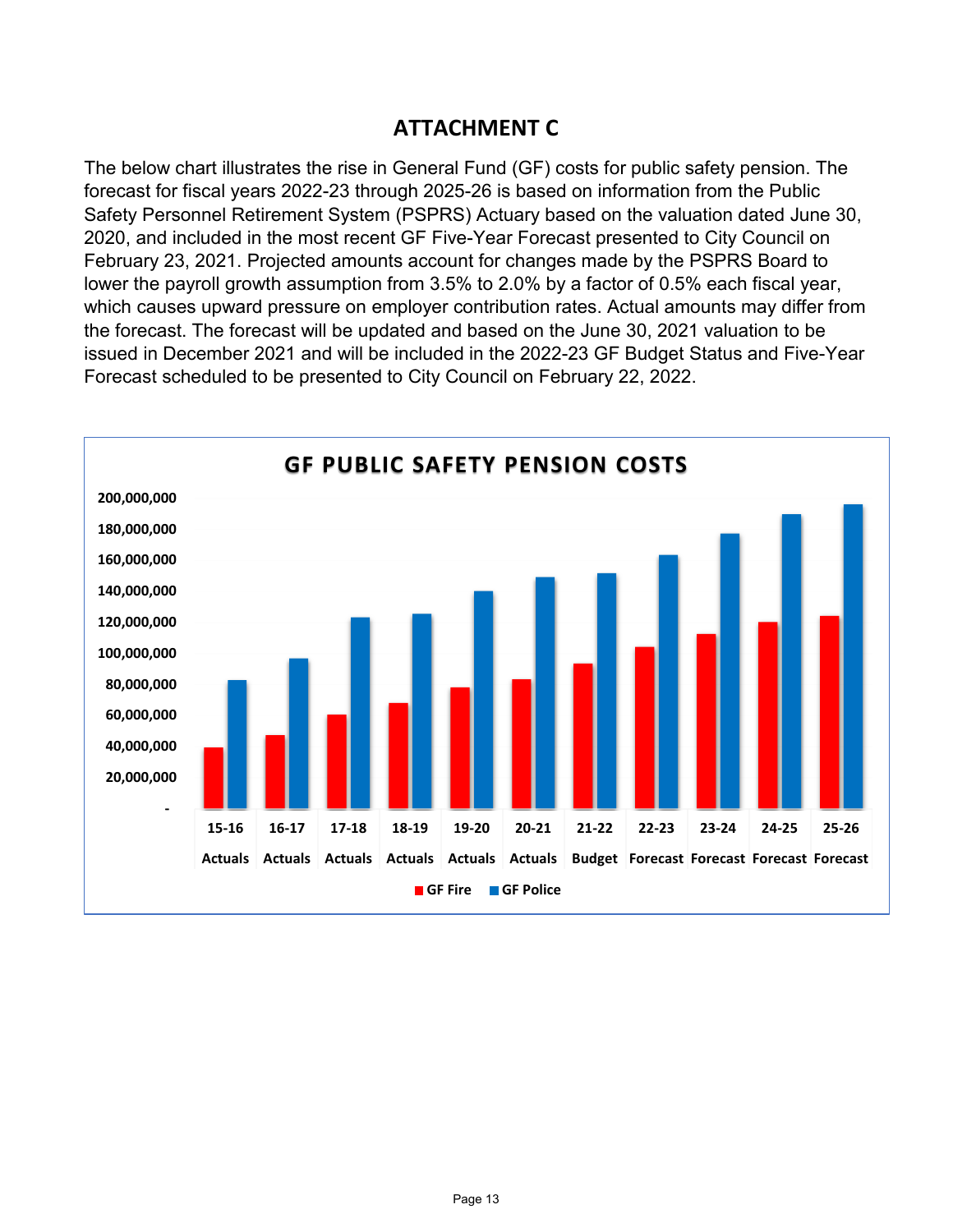# **ATTACHMENT C**

The below chart illustrates the rise in General Fund (GF) costs for public safety pension. The forecast for fiscal years 2022-23 through 2025-26 is based on information from the Public Safety Personnel Retirement System (PSPRS) Actuary based on the valuation dated June 30, 2020, and included in the most recent GF Five-Year Forecast presented to City Council on February 23, 2021. Projected amounts account for changes made by the PSPRS Board to lower the payroll growth assumption from 3.5% to 2.0% by a factor of 0.5% each fiscal year, which causes upward pressure on employer contribution rates. Actual amounts may differ from the forecast. The forecast will be updated and based on the June 30, 2021 valuation to be issued in December 2021 and will be included in the 2022-23 GF Budget Status and Five-Year Forecast scheduled to be presented to City Council on February 22, 2022.